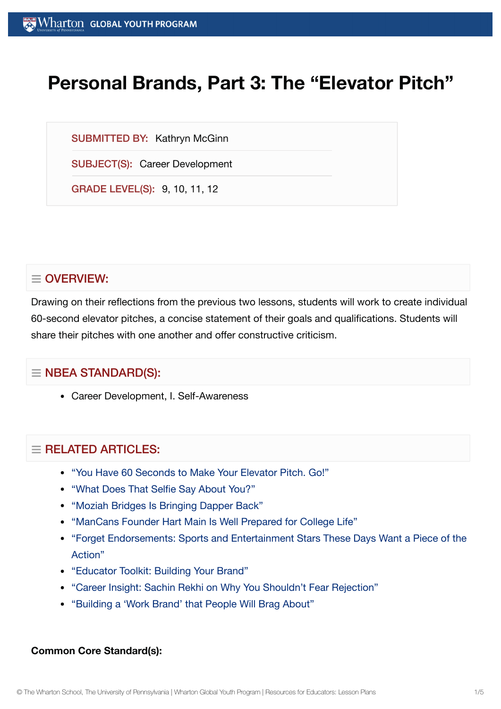# **Personal Brands, Part 3: The "Elevator Pitch"**

SUBMITTED BY: Kathryn McGinn

SUBJECT(S): Career Development

GRADE LEVEL(S): 9, 10, 11, 12

# $\equiv$  OVERVIEW:

Drawing on their reflections from the previous two lessons, students will work to create individual 60-second elevator pitches, a concise statement of their goals and qualifications. Students will share their pitches with one another and offer constructive criticism.

# $\equiv$  NBEA STANDARD(S):

Career Development, I. Self-Awareness

# $=$  RFI ATED ARTICLES:

- "You Have 60 [Seconds to](https://globalyouth.wharton.upenn.edu/articles/60-second-elevator-pitch/) Make Your Elevator Pitch. Go!"
- "What Does That Selfie [Say About](https://globalyouth.wharton.upenn.edu/articles/what-does-that-selfie-say-about-you/) You?"
- "Moziah [Bridges Is Bringing](https://globalyouth.wharton.upenn.edu/articles/moziah-bridges-bringing-dapper-back/) Dapper Back"
- ["ManCans Founder](https://globalyouth.wharton.upenn.edu/articles/hart-main-is-prepared-for-college-life/) Hart Main Is Well Prepared for College Life"
- "Forget [Endorsements:](https://globalyouth.wharton.upenn.edu/articles/forget-endorsements-sports-and-entertainment-stars-these-days-want-a-piece-of-the-action/) Sports and Entertainment Stars These Days Want a Piece of the Action"
- ["Educator](https://globalyouth.wharton.upenn.edu/articles/december-2017-building-your-brand/) Toolkit: Building Your Brand"
- "Career Insight: Sachin Rekhi on Why You Shouldn't Fear [Rejection"](https://globalyouth.wharton.upenn.edu/articles/career-insight-sachin-rekhi-on-why-you-shouldnt-fear-rejection/)
- ["Building](https://globalyouth.wharton.upenn.edu/articles/a-work-brand-people-will-brag-about/) a 'Work Brand' that People Will Brag About"

#### **Common Core Standard(s):**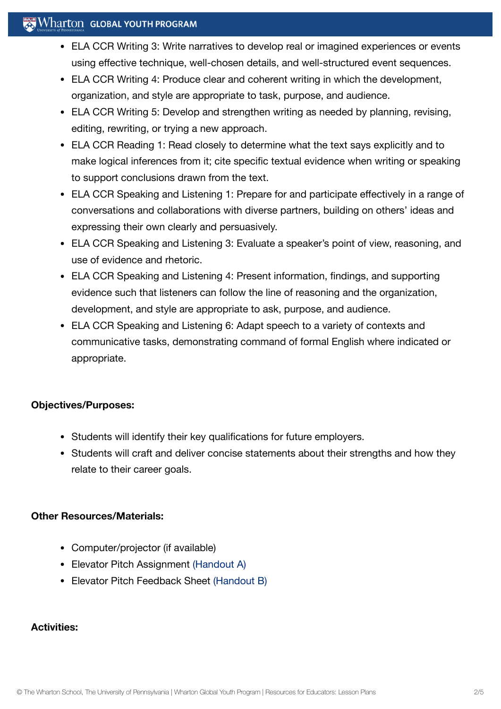# $\mathbb{R}$  Wharton Global Youth Program

- ELA CCR Writing 3: Write narratives to develop real or imagined experiences or events using effective technique, well-chosen details, and well-structured event sequences.
- ELA CCR Writing 4: Produce clear and coherent writing in which the development, organization, and style are appropriate to task, purpose, and audience.
- ELA CCR Writing 5: Develop and strengthen writing as needed by planning, revising, editing, rewriting, or trying a new approach.
- ELA CCR Reading 1: Read closely to determine what the text says explicitly and to make logical inferences from it; cite specific textual evidence when writing or speaking to support conclusions drawn from the text.
- ELA CCR Speaking and Listening 1: Prepare for and participate effectively in a range of conversations and collaborations with diverse partners, building on others' ideas and expressing their own clearly and persuasively.
- ELA CCR Speaking and Listening 3: Evaluate a speaker's point of view, reasoning, and use of evidence and rhetoric.
- ELA CCR Speaking and Listening 4: Present information, findings, and supporting evidence such that listeners can follow the line of reasoning and the organization, development, and style are appropriate to ask, purpose, and audience.
- ELA CCR Speaking and Listening 6: Adapt speech to a variety of contexts and communicative tasks, demonstrating command of formal English where indicated or appropriate.

#### **Objectives/Purposes:**

- Students will identify their key qualifications for future employers.
- Students will craft and deliver concise statements about their strengths and how they relate to their career goals.

#### **Other Resources/Materials:**

- Computer/projector (if available)
- Elevator Pitch Assignment [\(Handout](https://globalyouth.wharton.upenn.edu/wp-content/uploads/2012/01/Career-Development-12_handoutA.pdf) A)
- Elevator Pitch Feedback Sheet [\(Handout](https://globalyouth.wharton.upenn.edu/wp-content/uploads/2011/07/Career-Development-12_HandoutB.pdf) B)

#### **Activities:**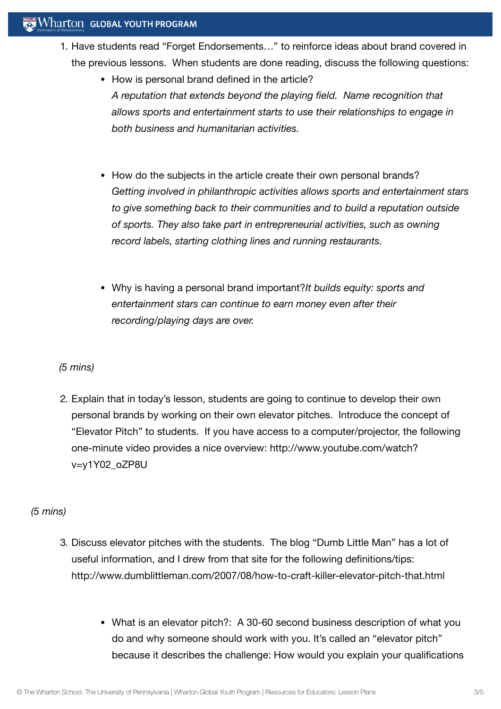- 1. Have students read "Forget Endorsements…" to reinforce ideas about brand covered in the previous lessons. When students are done reading, discuss the following questions:
	- How is personal brand defined in the article? *A reputation that extends beyond the playing field. Name recognition that allows sports and entertainment starts to use their relationships to engage in both business and humanitarian activities.*
	- How do the subjects in the article create their own personal brands? *Getting involved in philanthropic activities allows sports and entertainment stars to give something back to their communities and to build a reputation outside of sports. They also take part in entrepreneurial activities, such as owning record labels, starting clothing lines and running restaurants.*
	- Why is having a personal brand important?*It builds equity: sports and entertainment stars can continue to earn money even after their recording/playing days are over.*

*(5 mins)*

2. Explain that in today's lesson, students are going to continue to develop their own personal brands by working on their own elevator pitches. Introduce the concept of "Elevator Pitch" to students. If you have access to a computer/projector, the following one-minute video provides a nice overview: http://www.youtube.com/watch? v=y1Y02\_oZP8U

# *(5 mins)*

- 3. Discuss elevator pitches with the students. The blog "Dumb Little Man" has a lot of useful information, and I drew from that site for the following definitions/tips: http://www.dumblittleman.com/2007/08/how-to-craft-killer-elevator-pitch-that.html
	- What is an elevator pitch?: A 30-60 second business description of what you do and why someone should work with you. It's called an "elevator pitch" because it describes the challenge: How would you explain your qualifications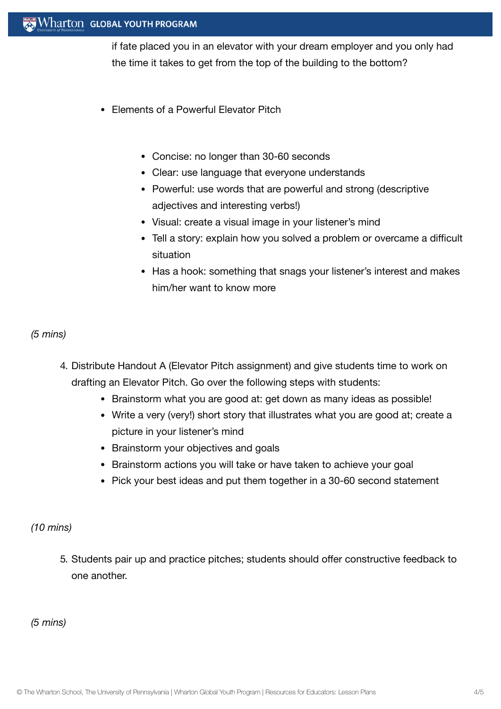#### Wharton GLOBAL YOUTH PROGRAM

if fate placed you in an elevator with your dream employer and you only had the time it takes to get from the top of the building to the bottom?

- Elements of a Powerful Elevator Pitch
	- Concise: no longer than 30-60 seconds
	- Clear: use language that everyone understands
	- Powerful: use words that are powerful and strong (descriptive adjectives and interesting verbs!)
	- Visual: create a visual image in your listener's mind
	- Tell a story: explain how you solved a problem or overcame a difficult situation
	- Has a hook: something that snags your listener's interest and makes him/her want to know more

### *(5 mins)*

- 4. Distribute Handout A (Elevator Pitch assignment) and give students time to work on drafting an Elevator Pitch. Go over the following steps with students:
	- Brainstorm what you are good at: get down as many ideas as possible!
	- Write a very (very!) short story that illustrates what you are good at; create a picture in your listener's mind
	- Brainstorm your objectives and goals
	- Brainstorm actions you will take or have taken to achieve your goal
	- Pick your best ideas and put them together in a 30-60 second statement

#### *(10 mins)*

5. Students pair up and practice pitches; students should offer constructive feedback to one another.

*(5 mins)*